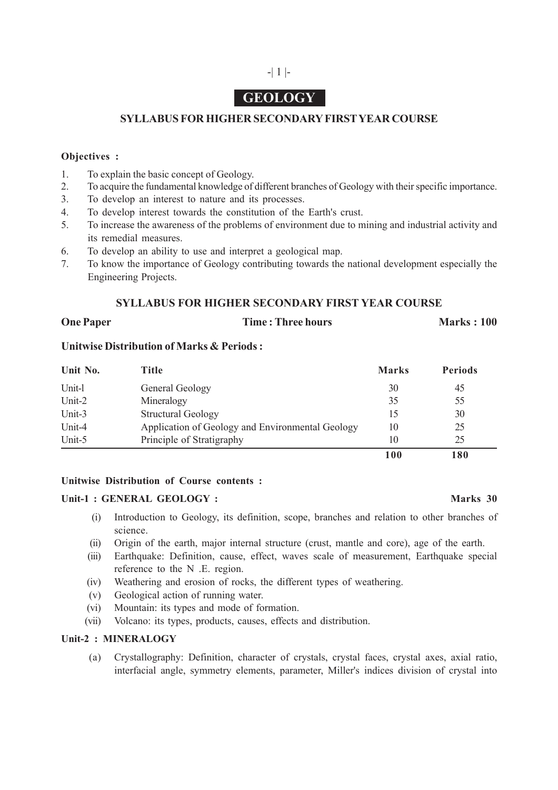## -| 1 |-

# **GEOLOGY**

### **SYLLABUS FOR HIGHER SECONDARY FIRST YEAR COURSE**

#### **Objectives :**

- 1. To explain the basic concept of Geology.
- 2. To acquire the fundamental knowledge of different branches of Geology with their specific importance.
- 3. To develop an interest to nature and its processes.
- 4. To develop interest towards the constitution of the Earth's crust.
- 5. To increase the awareness of the problems of environment due to mining and industrial activity and its remedial measures.
- 6. To develop an ability to use and interpret a geological map.
- 7. To know the importance of Geology contributing towards the national development especially the Engineering Projects.

#### **SYLLABUS FOR HIGHER SECONDARY FIRST YEAR COURSE**

#### **One Paper Time : Three hours Marks : 100**

#### **Unitwise Distribution of Marks & Periods :**

| Unit No. | Title                                            | <b>Marks</b> | <b>Periods</b> |
|----------|--------------------------------------------------|--------------|----------------|
| Unit-l   | General Geology                                  | 30           | 45             |
| Unit-2   | Mineralogy                                       | 35           | 55             |
| Unit-3   | <b>Structural Geology</b>                        | 15           | 30             |
| Unit-4   | Application of Geology and Environmental Geology | 10           | 25             |
| Unit-5   | Principle of Stratigraphy                        | 10           | 25             |
|          |                                                  | 100          | 180            |

#### **Unitwise Distribution of Course contents :**

#### **Unit-1 : GENERAL GEOLOGY : Marks 30**

#### (i) Introduction to Geology, its definition, scope, branches and relation to other branches of science.

- (ii) Origin of the earth, major internal structure (crust, mantle and core), age of the earth.
- (iii) Earthquake: Definition, cause, effect, waves scale of measurement, Earthquake special reference to the N .E. region.
- (iv) Weathering and erosion of rocks, the different types of weathering.
- (v) Geological action of running water.
- (vi) Mountain: its types and mode of formation.
- (vii) Volcano: its types, products, causes, effects and distribution.

#### **Unit-2 : MINERALOGY**

(a) Crystallography: Definition, character of crystals, crystal faces, crystal axes, axial ratio, interfacial angle, symmetry elements, parameter, Miller's indices division of crystal into